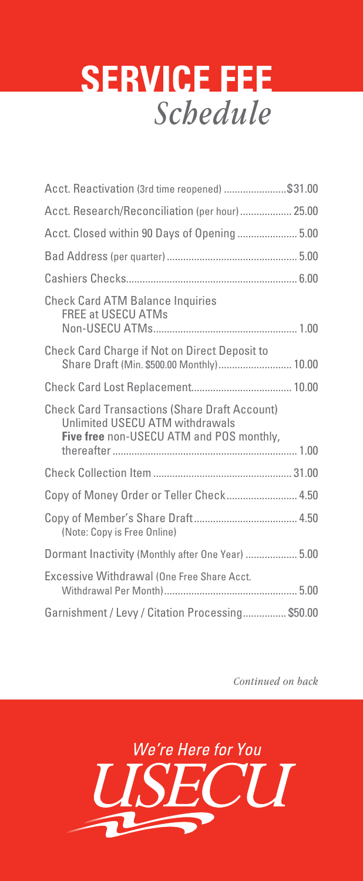## **SERVICE FEE** *Schedule*

| Acct. Reactivation (3rd time reopened) \$31.00                                                                                      |  |
|-------------------------------------------------------------------------------------------------------------------------------------|--|
| Acct. Research/Reconciliation (per hour) 25.00                                                                                      |  |
| Acct. Closed within 90 Days of Opening 5.00                                                                                         |  |
|                                                                                                                                     |  |
|                                                                                                                                     |  |
| <b>Check Card ATM Balance Inquiries</b><br><b>FREE at USECU ATMs</b>                                                                |  |
| <b>Check Card Charge if Not on Direct Deposit to</b><br>Share Draft (Min. \$500.00 Monthly) 10.00                                   |  |
|                                                                                                                                     |  |
| <b>Check Card Transactions (Share Draft Account)</b><br>Unlimited USECU ATM withdrawals<br>Five free non-USECU ATM and POS monthly, |  |
|                                                                                                                                     |  |
| Copy of Money Order or Teller Check 4.50                                                                                            |  |
| (Note: Copy is Free Online)                                                                                                         |  |
| Dormant Inactivity (Monthly after One Year)  5.00                                                                                   |  |
| Excessive Withdrawal (One Free Share Acct.                                                                                          |  |
| Garnishment / Levy / Citation Processing \$50.00                                                                                    |  |

*Continued on back*